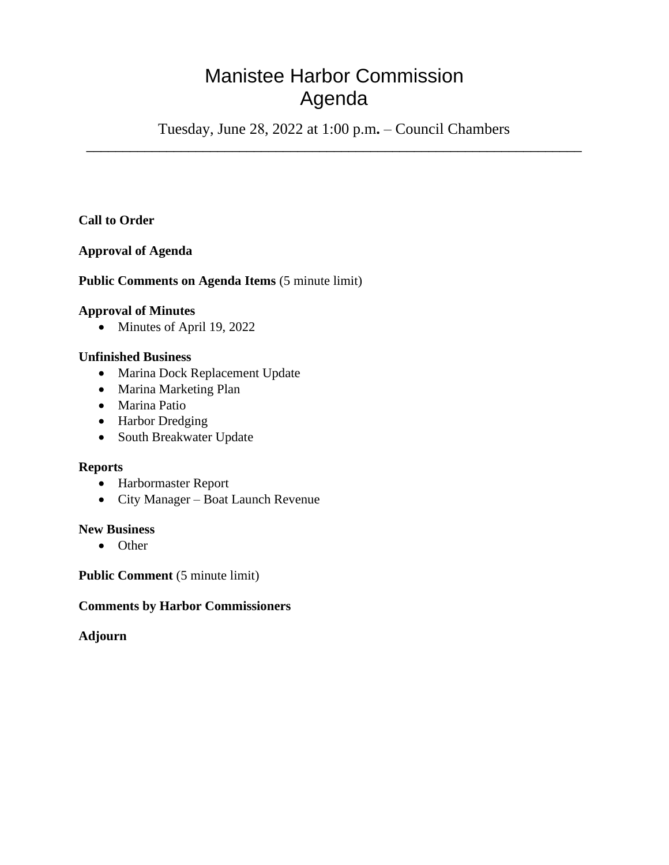# Manistee Harbor Commission Agenda

Tuesday, June 28, 2022 at 1:00 p.m**.** – Council Chambers \_\_\_\_\_\_\_\_\_\_\_\_\_\_\_\_\_\_\_\_\_\_\_\_\_\_\_\_\_\_\_\_\_\_\_\_\_\_\_\_\_\_\_\_\_\_\_\_\_\_\_\_\_\_\_\_\_\_\_\_\_\_\_\_\_\_\_\_

# **Call to Order**

# **Approval of Agenda**

# **Public Comments on Agenda Items** (5 minute limit)

#### **Approval of Minutes**

• Minutes of April 19, 2022

# **Unfinished Business**

- Marina Dock Replacement Update
- Marina Marketing Plan
- Marina Patio
- Harbor Dredging
- South Breakwater Update

#### **Reports**

- Harbormaster Report
- City Manager Boat Launch Revenue

#### **New Business**

• Other

**Public Comment** (5 minute limit)

#### **Comments by Harbor Commissioners**

#### **Adjourn**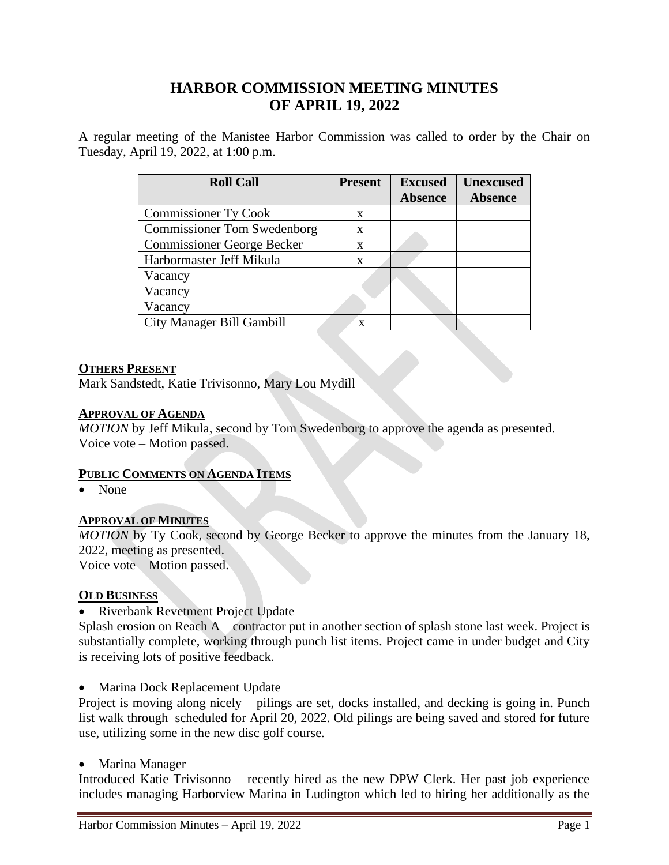# **HARBOR COMMISSION MEETING MINUTES OF APRIL 19, 2022**

A regular meeting of the Manistee Harbor Commission was called to order by the Chair on Tuesday, April 19, 2022, at 1:00 p.m.

| <b>Roll Call</b>                   | <b>Present</b> | <b>Excused</b><br><b>Absence</b> | <b>Unexcused</b><br><b>Absence</b> |
|------------------------------------|----------------|----------------------------------|------------------------------------|
| <b>Commissioner Ty Cook</b>        | X              |                                  |                                    |
| <b>Commissioner Tom Swedenborg</b> | X              |                                  |                                    |
| <b>Commissioner George Becker</b>  | X              |                                  |                                    |
| Harbormaster Jeff Mikula           | X              |                                  |                                    |
| Vacancy                            |                |                                  |                                    |
| Vacancy                            |                |                                  |                                    |
| Vacancy                            |                |                                  |                                    |
| City Manager Bill Gambill          | X              |                                  |                                    |

#### **OTHERS PRESENT**

Mark Sandstedt, Katie Trivisonno, Mary Lou Mydill

#### **APPROVAL OF AGENDA**

*MOTION* by Jeff Mikula, second by Tom Swedenborg to approve the agenda as presented. Voice vote – Motion passed.

# **PUBLIC COMMENTS ON AGENDA ITEMS**

• None

# **APPROVAL OF MINUTES**

*MOTION* by Ty Cook, second by George Becker to approve the minutes from the January 18, 2022, meeting as presented.

Voice vote – Motion passed.

# **OLD BUSINESS**

• Riverbank Revetment Project Update

Splash erosion on Reach A – contractor put in another section of splash stone last week. Project is substantially complete, working through punch list items. Project came in under budget and City is receiving lots of positive feedback.

• Marina Dock Replacement Update

Project is moving along nicely – pilings are set, docks installed, and decking is going in. Punch list walk through scheduled for April 20, 2022. Old pilings are being saved and stored for future use, utilizing some in the new disc golf course.

• Marina Manager

Introduced Katie Trivisonno – recently hired as the new DPW Clerk. Her past job experience includes managing Harborview Marina in Ludington which led to hiring her additionally as the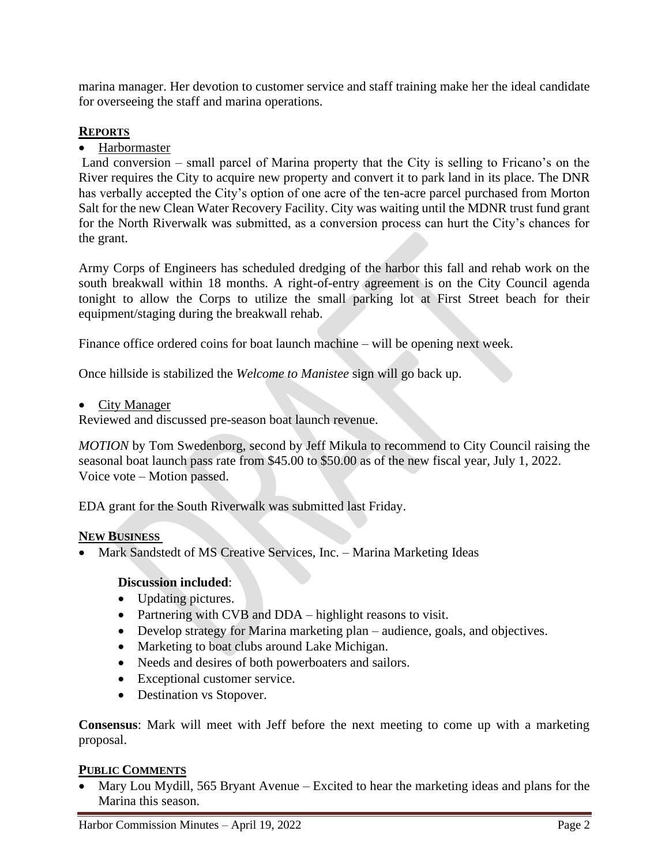marina manager. Her devotion to customer service and staff training make her the ideal candidate for overseeing the staff and marina operations.

# **REPORTS**

• Harbormaster

Land conversion – small parcel of Marina property that the City is selling to Fricano's on the River requires the City to acquire new property and convert it to park land in its place. The DNR has verbally accepted the City's option of one acre of the ten-acre parcel purchased from Morton Salt for the new Clean Water Recovery Facility. City was waiting until the MDNR trust fund grant for the North Riverwalk was submitted, as a conversion process can hurt the City's chances for the grant.

Army Corps of Engineers has scheduled dredging of the harbor this fall and rehab work on the south breakwall within 18 months. A right-of-entry agreement is on the City Council agenda tonight to allow the Corps to utilize the small parking lot at First Street beach for their equipment/staging during the breakwall rehab.

Finance office ordered coins for boat launch machine – will be opening next week.

Once hillside is stabilized the *Welcome to Manistee* sign will go back up.

• City Manager

Reviewed and discussed pre-season boat launch revenue.

*MOTION* by Tom Swedenborg, second by Jeff Mikula to recommend to City Council raising the seasonal boat launch pass rate from \$45.00 to \$50.00 as of the new fiscal year, July 1, 2022. Voice vote – Motion passed.

EDA grant for the South Riverwalk was submitted last Friday.

# **NEW BUSINESS**

• Mark Sandstedt of MS Creative Services, Inc. – Marina Marketing Ideas

# **Discussion included**:

- Updating pictures.
- Partnering with CVB and DDA highlight reasons to visit.
- Develop strategy for Marina marketing plan audience, goals, and objectives.
- Marketing to boat clubs around Lake Michigan.
- Needs and desires of both powerboaters and sailors.
- Exceptional customer service.
- Destination vs Stopover.

**Consensus**: Mark will meet with Jeff before the next meeting to come up with a marketing proposal.

# **PUBLIC COMMENTS**

• Mary Lou Mydill, 565 Bryant Avenue – Excited to hear the marketing ideas and plans for the Marina this season.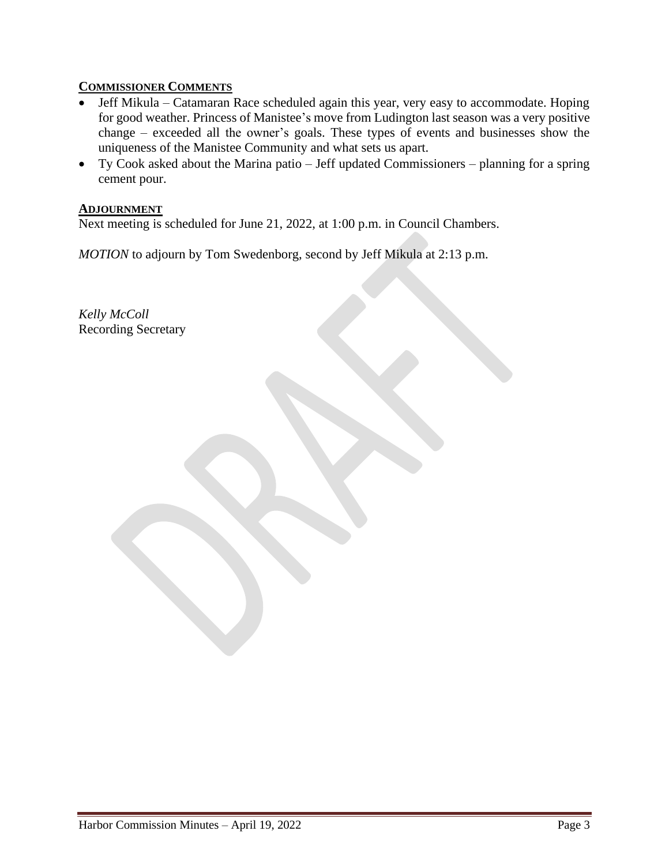# **COMMISSIONER COMMENTS**

- Jeff Mikula Catamaran Race scheduled again this year, very easy to accommodate. Hoping for good weather. Princess of Manistee's move from Ludington last season was a very positive change – exceeded all the owner's goals. These types of events and businesses show the uniqueness of the Manistee Community and what sets us apart.
- Ty Cook asked about the Marina patio Jeff updated Commissioners planning for a spring cement pour.

#### **ADJOURNMENT**

Next meeting is scheduled for June 21, 2022, at 1:00 p.m. in Council Chambers.

*MOTION* to adjourn by Tom Swedenborg, second by Jeff Mikula at 2:13 p.m.

*Kelly McColl* Recording Secretary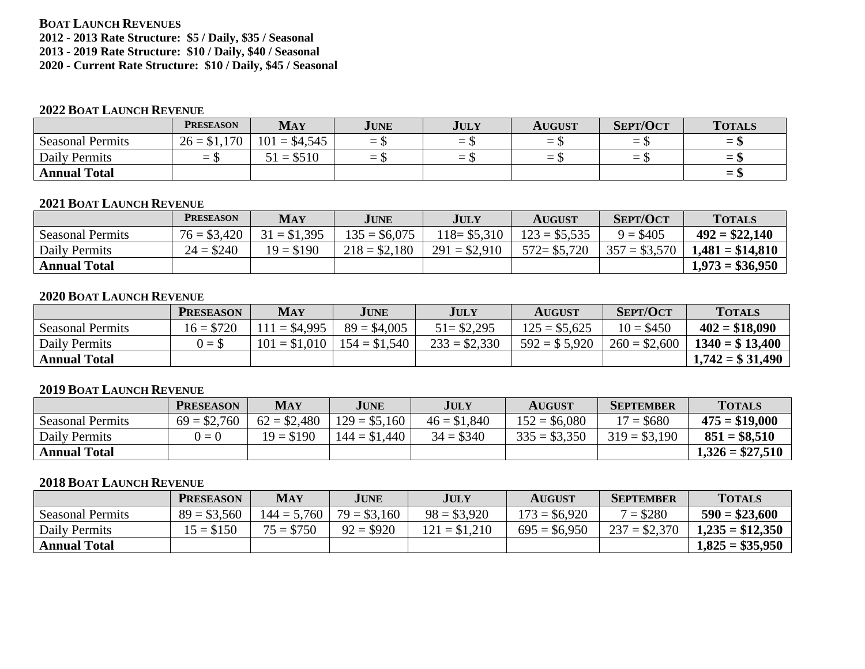# **BOAT LAUNCH REVENUES**

**2012 - 2013 Rate Structure: \$5 / Daily, \$35 / Seasonal**

**2013 - 2019 Rate Structure: \$10 / Daily, \$40 / Seasonal**

**2020 - Current Rate Structure: \$10 / Daily, \$45 / Seasonal**

#### **2022 BOAT LAUNCH REVENUE**

|                         | <b>PRESEASON</b> | <b>MAY</b>     | JUNE                                                 | <b>JULY</b> | <b>AUGUST</b> | <b>SEPT/OCT</b>   | <b>TOTALS</b>                                        |
|-------------------------|------------------|----------------|------------------------------------------------------|-------------|---------------|-------------------|------------------------------------------------------|
| <b>Seasonal Permits</b> | $26 = $1,170$    | $101 = $4,545$ | $=$                                                  | $=$ 5       |               | $=$ $\mathcal{P}$ | $\overline{\phantom{0}}$<br>–                        |
| Daily Permits           | $-1$             | $51 = $510$    | $\overline{\phantom{m}}$<br>$\overline{\phantom{0}}$ | $=$         |               | — U               | -<br>-                                               |
| <b>Annual Total</b>     |                  |                |                                                      |             |               |                   | $\overline{\phantom{0}}$<br>$\overline{\phantom{0}}$ |

#### **2021 BOAT LAUNCH REVENUE**

|                         | <b>PRESEASON</b> | <b>MAY</b>    | <b>JUNE</b>    | <b>JULY</b>    | <b>AUGUST</b>  | <b>SEPT/OCT</b> | <b>TOTALS</b>     |
|-------------------------|------------------|---------------|----------------|----------------|----------------|-----------------|-------------------|
| <b>Seasonal Permits</b> | $76 = $3,420$    | $31 = $1,395$ | $135 = $6,075$ | $118 = $5,310$ | $123 = $5,535$ | $9 = $405$      | $492 = $22,140$   |
| Daily Permits           | $24 = $240$      | $19 = $190$   | $218 = $2,180$ | $291 = $2,910$ | $572 = $5,720$ | $357 = $3,570$  | $1.481 = $14.810$ |
| <b>Annual Total</b>     |                  |               |                |                |                |                 | $1,973 = $36,950$ |

# **2020 BOAT LAUNCH REVENUE**

|                         | <b>PRESEASON</b> | <b>MAY</b>     | JUNE                            | <b>JULY</b>    | <b>AUGUST</b>  | <b>SEPT/OCT</b> | <b>TOTALS</b>     |
|-------------------------|------------------|----------------|---------------------------------|----------------|----------------|-----------------|-------------------|
| <b>Seasonal Permits</b> | $16 = $720$      | $111 = $4.995$ | $89 = $4,005$                   | $51 = $2,295$  | $125 = $5,625$ | $10 = $450$     | $402 = $18,090$   |
| Daily Permits           | $0 = $$          |                | $101 = $1,010$   $154 = $1,540$ | $233 = $2,330$ | $592 = $5,920$ | $260 = $2,600$  | $1340 = $13,400$  |
| <b>Annual Total</b>     |                  |                |                                 |                |                |                 | $1,742 = $31,490$ |

#### **2019 BOAT LAUNCH REVENUE**

|                         | <b>PRESEASON</b> | MAY           | JUNE           | <b>JULY</b>   | <b>AUGUST</b>  | <b>SEPTEMBER</b> | <b>TOTALS</b>     |
|-------------------------|------------------|---------------|----------------|---------------|----------------|------------------|-------------------|
| <b>Seasonal Permits</b> | $69 = $2,760$    | $62 = $2,480$ | $129 = $5,160$ | $46 = $1,840$ | $152 = $6,080$ | $17 = $680$      | $475 = $19,000$   |
| Daily Permits           | $0 = 0$          | $19 = $190$   | $144 = $1,440$ | $34 = $340$   | $335 = $3,350$ | $319 = $3,190$   | $851 = $8,510$    |
| <b>Annual Total</b>     |                  |               |                |               |                |                  | $1,326 = $27,510$ |

# **2018 BOAT LAUNCH REVENUE**

|                         | <b>PRESEASON</b> | <b>MAY</b>    | <b>JUNE</b>   | JULY           | <b>AUGUST</b>  | <b>SEPTEMBER</b> | <b>TOTALS</b>     |
|-------------------------|------------------|---------------|---------------|----------------|----------------|------------------|-------------------|
| <b>Seasonal Permits</b> | $89 = $3,560$    | $144 = 5,760$ | $79 = $3,160$ | $98 = $3,920$  | $173 = $6,920$ | $7 = $280$       | $590 = $23,600$   |
| Daily Permits           | $15 = $150$      | $75 = $750$   | $92 = $920$   | $121 = $1,210$ | $695 = $6,950$ | $237 = $2,370$   | $1,235 = $12,350$ |
| <b>Annual Total</b>     |                  |               |               |                |                |                  | $1,825 = $35,950$ |